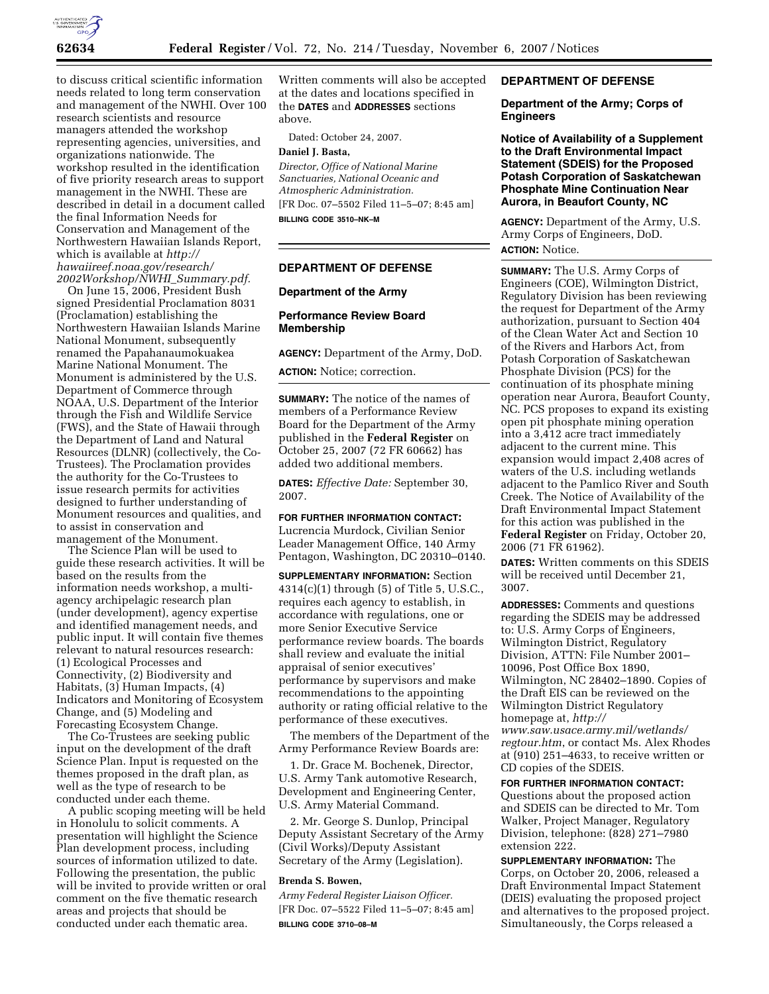

to discuss critical scientific information needs related to long term conservation and management of the NWHI. Over 100 research scientists and resource managers attended the workshop representing agencies, universities, and organizations nationwide. The workshop resulted in the identification of five priority research areas to support management in the NWHI. These are described in detail in a document called the final Information Needs for Conservation and Management of the Northwestern Hawaiian Islands Report, which is available at *http:// hawaiireef.noaa.gov/research/ 2002Workshop/NWHI*\_*Summary.pdf.* 

On June 15, 2006, President Bush signed Presidential Proclamation 8031 (Proclamation) establishing the Northwestern Hawaiian Islands Marine National Monument, subsequently renamed the Papahanaumokuakea Marine National Monument. The Monument is administered by the U.S. Department of Commerce through NOAA, U.S. Department of the Interior through the Fish and Wildlife Service (FWS), and the State of Hawaii through the Department of Land and Natural Resources (DLNR) (collectively, the Co-Trustees). The Proclamation provides the authority for the Co-Trustees to issue research permits for activities designed to further understanding of Monument resources and qualities, and to assist in conservation and management of the Monument.

The Science Plan will be used to guide these research activities. It will be based on the results from the information needs workshop, a multiagency archipelagic research plan (under development), agency expertise and identified management needs, and public input. It will contain five themes relevant to natural resources research: (1) Ecological Processes and Connectivity, (2) Biodiversity and Habitats, (3) Human Impacts, (4) Indicators and Monitoring of Ecosystem Change, and (5) Modeling and Forecasting Ecosystem Change.

The Co-Trustees are seeking public input on the development of the draft Science Plan. Input is requested on the themes proposed in the draft plan, as well as the type of research to be conducted under each theme.

A public scoping meeting will be held in Honolulu to solicit comments. A presentation will highlight the Science Plan development process, including sources of information utilized to date. Following the presentation, the public will be invited to provide written or oral comment on the five thematic research areas and projects that should be conducted under each thematic area.

Written comments will also be accepted at the dates and locations specified in the **DATES** and **ADDRESSES** sections above.

Dated: October 24, 2007.

# **Daniel J. Basta,**

*Director, Office of National Marine Sanctuaries, National Oceanic and Atmospheric Administration.*  [FR Doc. 07–5502 Filed 11–5–07; 8:45 am] **BILLING CODE 3510–NK–M** 

# **DEPARTMENT OF DEFENSE**

#### **Department of the Army**

## **Performance Review Board Membership**

**AGENCY:** Department of the Army, DoD.

**ACTION:** Notice; correction.

**SUMMARY:** The notice of the names of members of a Performance Review Board for the Department of the Army published in the **Federal Register** on October 25, 2007 (72 FR 60662) has added two additional members.

**DATES:** *Effective Date:* September 30, 2007.

**FOR FURTHER INFORMATION CONTACT:** 

Lucrencia Murdock, Civilian Senior Leader Management Office, 140 Army Pentagon, Washington, DC 20310–0140.

**SUPPLEMENTARY INFORMATION:** Section 4314(c)(1) through (5) of Title 5, U.S.C., requires each agency to establish, in accordance with regulations, one or more Senior Executive Service performance review boards. The boards shall review and evaluate the initial appraisal of senior executives' performance by supervisors and make recommendations to the appointing authority or rating official relative to the performance of these executives.

The members of the Department of the Army Performance Review Boards are:

1. Dr. Grace M. Bochenek, Director, U.S. Army Tank automotive Research, Development and Engineering Center, U.S. Army Material Command.

2. Mr. George S. Dunlop, Principal Deputy Assistant Secretary of the Army (Civil Works)/Deputy Assistant Secretary of the Army (Legislation).

#### **Brenda S. Bowen,**

*Army Federal Register Liaison Officer.*  [FR Doc. 07–5522 Filed 11–5–07; 8:45 am] **BILLING CODE 3710–08–M** 

# **DEPARTMENT OF DEFENSE**

**Department of the Army; Corps of Engineers** 

**Notice of Availability of a Supplement to the Draft Environmental Impact Statement (SDEIS) for the Proposed Potash Corporation of Saskatchewan Phosphate Mine Continuation Near Aurora, in Beaufort County, NC** 

**AGENCY:** Department of the Army, U.S. Army Corps of Engineers, DoD. **ACTION:** Notice.

**SUMMARY:** The U.S. Army Corps of Engineers (COE), Wilmington District, Regulatory Division has been reviewing the request for Department of the Army authorization, pursuant to Section 404 of the Clean Water Act and Section 10 of the Rivers and Harbors Act, from Potash Corporation of Saskatchewan Phosphate Division (PCS) for the continuation of its phosphate mining operation near Aurora, Beaufort County, NC. PCS proposes to expand its existing open pit phosphate mining operation into a 3,412 acre tract immediately adjacent to the current mine. This expansion would impact 2,408 acres of waters of the U.S. including wetlands adjacent to the Pamlico River and South Creek. The Notice of Availability of the Draft Environmental Impact Statement for this action was published in the **Federal Register** on Friday, October 20, 2006 (71 FR 61962).

**DATES:** Written comments on this SDEIS will be received until December 21, 3007.

**ADDRESSES:** Comments and questions regarding the SDEIS may be addressed to: U.S. Army Corps of Engineers, Wilmington District, Regulatory Division, ATTN: File Number 2001– 10096, Post Office Box 1890, Wilmington, NC 28402–1890. Copies of the Draft EIS can be reviewed on the Wilmington District Regulatory homepage at, *http:// www.saw.usace.army.mil/wetlands/ regtour.htm*, or contact Ms. Alex Rhodes at (910) 251–4633, to receive written or CD copies of the SDEIS.

#### **FOR FURTHER INFORMATION CONTACT:**  Questions about the proposed action

and SDEIS can be directed to Mr. Tom Walker, Project Manager, Regulatory Division, telephone: (828) 271–7980 extension 222.

**SUPPLEMENTARY INFORMATION:** The Corps, on October 20, 2006, released a Draft Environmental Impact Statement (DEIS) evaluating the proposed project and alternatives to the proposed project. Simultaneously, the Corps released a